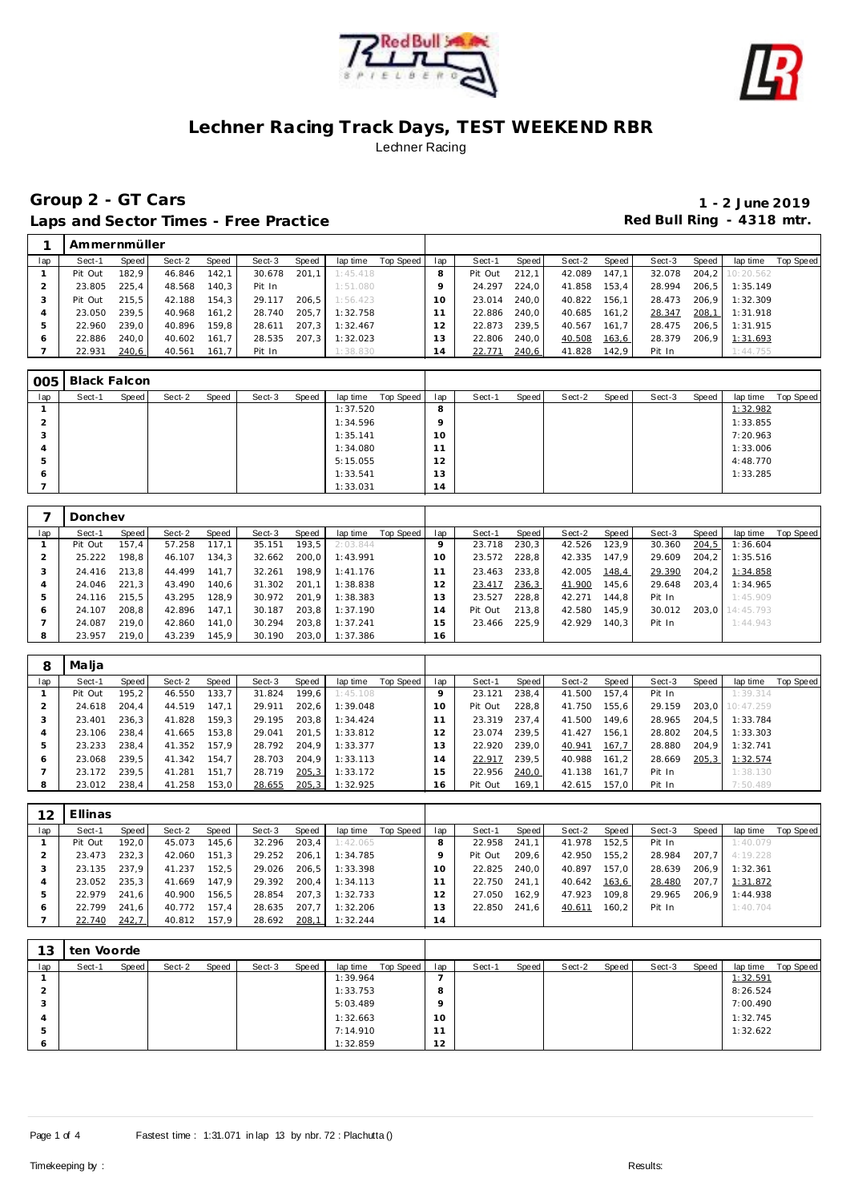



## **Group 2 - GT Cars 1 - 2 June 2019** Laps and Sector Times - Free Practice **Red Bull Ring - 4318 mtr.**

|     | Ammernmüller |       |        |       |        |       |          |           |     |         |       |        |           |        |       |           |           |
|-----|--------------|-------|--------|-------|--------|-------|----------|-----------|-----|---------|-------|--------|-----------|--------|-------|-----------|-----------|
| lap | Sect-1       | Speed | Sect-2 | Speed | Sect-3 | Speed | lap time | Top Speed | lap | Sect-1  | Speed | Sect-2 | Speed     | Sect-3 | Speed | lap time  | Top Speed |
|     | Pit Out      | 182.9 | 46.846 | 142,1 | 30.678 | 201.1 | 1:45.418 |           | 8   | Pit Out | 212.1 | 42.089 | 147.1     | 32.078 | 204.2 | 10:20.562 |           |
|     | 23.805       | 225.4 | 48.568 | 140.3 | Pit In |       | 1:51.080 |           |     | 24.297  | 224.0 | 41.858 | 153.4     | 28.994 | 206.5 | 1:35.149  |           |
|     | Pit Out      | 215.5 | 42.188 | 154.3 | 29.117 | 206.5 | 1:56.423 |           | 10  | 23.014  | 240.0 | 40.822 | 156.1     | 28.473 | 206.9 | 1:32.309  |           |
|     | 23.050       | 239.5 | 40.968 | 161,2 | 28.740 | 205.7 | 1:32.758 |           |     | 22.886  | 240.0 | 40.685 | 161.2     | 28.347 | 208,1 | 1:31.918  |           |
| 5   | 22.960       | 239.0 | 40.896 | 159.8 | 28.611 | 207.3 | 1:32.467 |           | 12  | 22.873  | 239.5 | 40.567 | 161<br>.7 | 28.475 | 206.5 | 1:31.915  |           |
| 6   | 22.886       | 240.0 | 40.602 | 161.7 | 28.535 | 207.3 | 1:32.023 |           | 13  | 22.806  | 240.0 | 40.508 | 163,6     | 28.379 | 206.9 | 1:31.693  |           |
|     | 22.931       | 240,6 | 40.561 | 161,7 | Pit In |       | 1:38.830 |           | ، 4 | 22.771  | 240,6 | 41.828 | 142,9     | Pit In |       | 1:44.755  |           |

| 005 | Black Falcon |       |        |       |        |       |          |           |         |        |       |        |       |        |       |          |           |
|-----|--------------|-------|--------|-------|--------|-------|----------|-----------|---------|--------|-------|--------|-------|--------|-------|----------|-----------|
| lap | Sect-1       | Speed | Sect-2 | Speed | Sect-3 | Speed | lap time | Top Speed | lap     | Sect-1 | Speed | Sect-2 | Speed | Sect-3 | Speed | lap time | Top Speed |
|     |              |       |        |       |        |       | 1:37.520 |           | 8       |        |       |        |       |        |       | 1:32.982 |           |
|     |              |       |        |       |        |       | 1:34.596 |           | $\circ$ |        |       |        |       |        |       | 1:33.855 |           |
|     |              |       |        |       |        |       | 1:35.141 |           | 10      |        |       |        |       |        |       | 7:20.963 |           |
|     |              |       |        |       |        |       | 1:34.080 |           | 11      |        |       |        |       |        |       | 1:33.006 |           |
| h   |              |       |        |       |        |       | 5:15.055 |           | 12      |        |       |        |       |        |       | 4:48.770 |           |
| O   |              |       |        |       |        |       | 1:33.541 |           | 13      |        |       |        |       |        |       | 1:33.285 |           |
|     |              |       |        |       |        |       | 1:33.031 |           | 14      |        |       |        |       |        |       |          |           |

|     | Donchev |       |        |       |        |       |          |           |          |         |       |        |       |        |       |           |           |
|-----|---------|-------|--------|-------|--------|-------|----------|-----------|----------|---------|-------|--------|-------|--------|-------|-----------|-----------|
| lap | Sect-1  | Speed | Sect-2 | Speed | Sect-3 | Speed | lap time | Top Speed | lap      | Sect-1  | Speed | Sect-2 | Speed | Sect-3 | Speed | lap time  | Top Speed |
|     | Pit Out | 157.4 | 57.258 | 117.1 | 35.151 | 193.5 | 2:03.844 |           |          | 23.718  | 230,3 | 42.526 | 123.9 | 30.360 | 204,5 | 1:36.604  |           |
|     | 25.222  | 198.8 | 46.107 | 134.3 | 32.662 | 200.0 | 1:43.991 |           | $\Omega$ | 23.572  | 228.8 | 42.335 | 147.9 | 29.609 | 204.2 | 1:35.516  |           |
| 3   | 24.416  | 213.8 | 44.499 | 141.7 | 32.261 | 198.9 | 1:41.176 |           |          | 23.463  | 233,8 | 42.005 | 148,4 | 29.390 | 204,2 | 1:34.858  |           |
|     | 24.046  | 221.3 | 43.490 | 140.6 | 31.302 | 201.1 | 1:38.838 |           |          | 23.417  | 236,3 | 41.900 | 145,6 | 29.648 | 203.4 | 1:34.965  |           |
|     | 24.116  | 215.5 | 43.295 | 128,9 | 30.972 | 201.9 | 1:38.383 |           | 13       | 23.527  | 228.8 | 42.271 | 144,8 | Pit In |       | 1:45.909  |           |
| O   | 24.107  | 208.8 | 42.896 | 147.1 | 30.187 | 203.8 | 1:37.190 |           | 14       | Pit Out | 213.8 | 42.580 | 145.9 | 30.012 | 203.0 | 14:45.793 |           |
|     | 24.087  | 219.0 | 42.860 | 141.0 | 30.294 | 203.8 | 1:37.241 |           | 15       | 23.466  | 225.9 | 42.929 | 140.3 | Pit In |       | 1:44.943  |           |
| 8   | 23.957  | 219,0 | 43.239 | 145,9 | 30.190 | 203,0 | 1:37.386 |           | 16       |         |       |        |       |        |       |           |           |

| 8   | Malja   |       |        |       |        |        |          |           |     |         |       |        |        |        |       |           |           |
|-----|---------|-------|--------|-------|--------|--------|----------|-----------|-----|---------|-------|--------|--------|--------|-------|-----------|-----------|
| lap | Sect-1  | Speed | Sect-2 | Speed | Sect-3 | Speed  | lap time | Top Speed | lap | Sect-1  | Speed | Sect-2 | Speed  | Sect-3 | Speed | lap time  | Top Speed |
|     | Pit Out | 195.2 | 46.550 | 133.7 | 31.824 | 199.6  | 1:45.108 |           |     | 23.121  | 238,4 | 41.500 | 157.4  | Pit In |       | 1:39.314  |           |
|     | 24.618  | 204.4 | 44.519 | 147.1 | 29.911 | 202.6  | 1:39.048 |           | 10  | Pit Out | 228.8 | 41.750 | 155.6  | 29.159 | 203.0 | 10:47.259 |           |
|     | 23.401  | 236.3 | 41.828 | 159.3 | 29.195 | 203.8  | 1:34.424 |           |     | 23.319  | 237.4 | 41.500 | 149.6  | 28.965 | 204.5 | 1:33.784  |           |
| 4   | 23.106  | 238.4 | 41.665 | 153,8 | 29.041 | 201.5  | 1:33.812 |           |     | 23.074  | 239.5 | 41.427 | 156.1  | 28.802 | 204.5 | 1:33.303  |           |
| 5   | 23.233  | 238.4 | 41.352 | 157.9 | 28.792 | 204.9  | 1:33.377 |           | 13  | 22.920  | 239.0 | 40.941 | 167.7  | 28.880 | 204.9 | 1:32.741  |           |
| O   | 23.068  | 239.5 | 41.342 | 154,7 | 28.703 | 204.9  | 1:33.113 |           | 14  | 22.917  | 239.5 | 40.988 | 161, 2 | 28.669 | 205,3 | 1:32.574  |           |
|     | 23.172  | 239.5 | 41.281 | 151.7 | 28.719 | 205,3  | 1:33.172 |           | 15  | 22.956  | 240,0 | 41.138 | 161.7  | Pit In |       | 1:38.130  |           |
| 8   | 23.012  | 238.4 | 41.258 | 153,0 | 28.655 | 205, 3 | 1:32.925 |           | 16  | Pit Out | 169,1 | 42.615 | 157.0  | Pit In |       | 7:50.489  |           |

| 12      | Ellinas |       |        |       |        |       |          |           |     |         |       |        |         |        |       |          |           |
|---------|---------|-------|--------|-------|--------|-------|----------|-----------|-----|---------|-------|--------|---------|--------|-------|----------|-----------|
| lap     | Sect-1  | Speed | Sect-2 | Speed | Sect-3 | Speed | lap time | Top Speed | lap | Sect-1  | Speed | Sect-2 | Speed ' | Sect-3 | Speed | lap time | Top Speed |
|         | Pit Out | 192.0 | 45.073 | 145,6 | 32.296 | 203.4 | 1:42.065 |           |     | 22.958  | 241.1 | 41.978 | 152.5   | Pit In |       | 1:40.079 |           |
|         | 23.473  | 232.3 | 42.060 | 151.3 | 29.252 | 206.1 | 1:34.785 |           |     | Pit Out | 209.6 | 42.950 | 155.2   | 28.984 | 207.7 | 4:19.228 |           |
|         | 23.135  | 237.9 | 41.237 | 152.5 | 29.026 | 206.5 | 1:33.398 |           | 10  | 22.825  | 240.0 | 40.897 | 157.0   | 28.639 | 206.9 | 1:32.361 |           |
| 4       | 23.052  | 235.3 | 41.669 | 147.9 | 29.392 | 200.4 | 1:34.113 |           |     | 22.750  | 241.1 | 40.642 | 163,6   | 28.480 | 207,7 | 1:31.872 |           |
| 5       | 22.979  | 241.6 | 40.900 | 156.5 | 28.854 | 207,3 | 1:32.733 |           |     | 27.050  | 162.9 | 47.923 | 109.8   | 29.965 | 206.9 | 1:44.938 |           |
| $\circ$ | 22.799  | 241.6 | 40.772 | 157.4 | 28.635 | 207.7 | 1:32.206 |           |     | 22.850  | 241.6 | 40.611 | 160.2   | Pit In |       | 1:40.704 |           |
|         | 22.740  | 242,7 | 40.812 | 157.9 | 28.692 | 208,1 | 1:32.244 |           | l 4 |         |       |        |         |        |       |          |           |

| 13      | ten Voorde |       |        |       |        |       |          |           |                 |        |       |        |       |        |       |          |                  |
|---------|------------|-------|--------|-------|--------|-------|----------|-----------|-----------------|--------|-------|--------|-------|--------|-------|----------|------------------|
| lap     | Sect-1     | Speed | Sect-2 | Speed | Sect-3 | Speed | lap time | Top Speed | lap             | Sect-1 | Speed | Sect-2 | Speed | Sect-3 | Speed | lap time | <b>Top Speed</b> |
|         |            |       |        |       |        |       | 1:39.964 |           |                 |        |       |        |       |        |       | 1:32.591 |                  |
|         |            |       |        |       |        |       | 1:33.753 |           | 8               |        |       |        |       |        |       | 8:26.524 |                  |
| -37     |            |       |        |       |        |       | 5:03.489 |           | $\circ$         |        |       |        |       |        |       | 7:00.490 |                  |
|         |            |       |        |       |        |       | 1:32.663 |           | 10 <sup>°</sup> |        |       |        |       |        |       | 1:32.745 |                  |
| Þ       |            |       |        |       |        |       | 7:14.910 |           |                 |        |       |        |       |        |       | 1:32.622 |                  |
| $\circ$ |            |       |        |       |        |       | 1:32.859 |           | 12              |        |       |        |       |        |       |          |                  |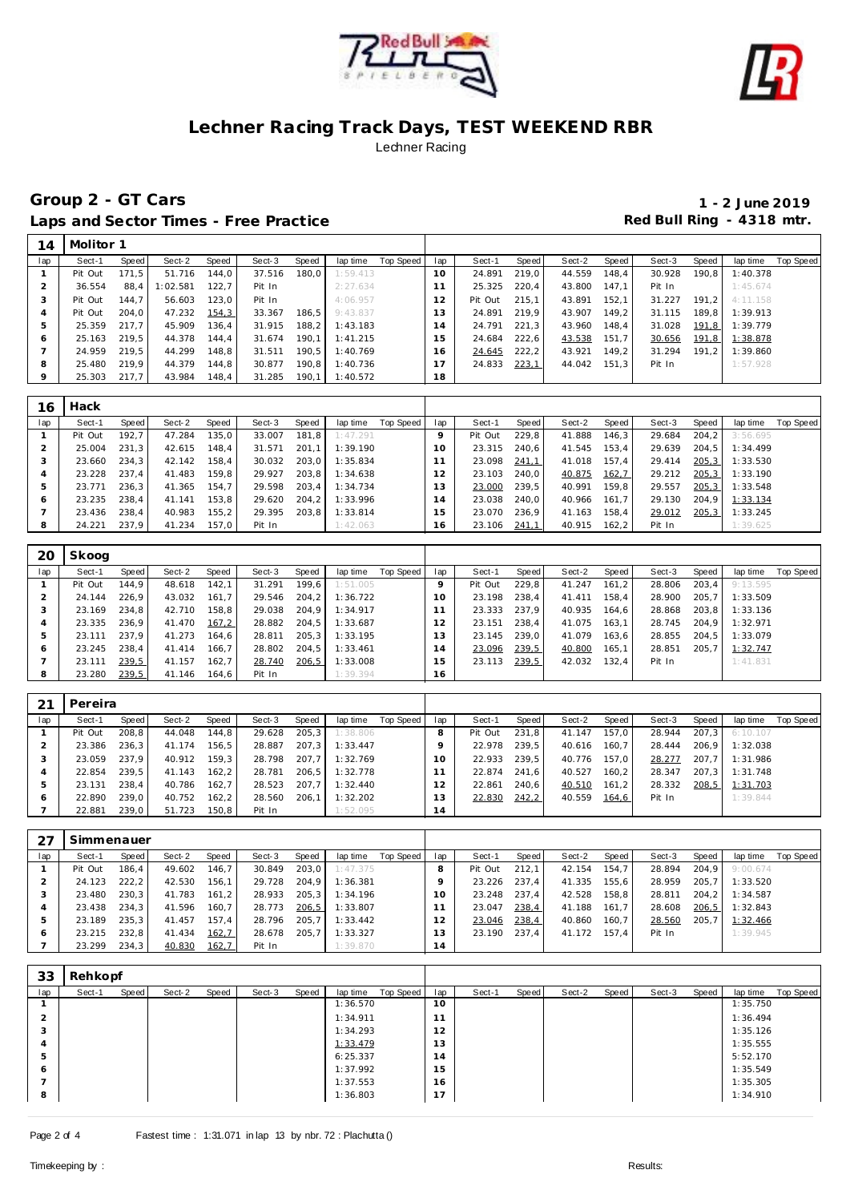



**Group 2 - GT Cars 1 - 2 June 2019** Laps and Sector Times - Free Practice **Red Bull Ring - 4318 mtr.** 

| 14      | Molitor 1 |       |         |       |        |       |          |           |                   |         |       |        |         |        |       |          |           |
|---------|-----------|-------|---------|-------|--------|-------|----------|-----------|-------------------|---------|-------|--------|---------|--------|-------|----------|-----------|
| lap     | Sect-1    | Speed | Sect-2  | Speed | Sect-3 | Speed | lap time | Top Speed | lap               | Sect-1  | Speed | Sect-2 | Speed I | Sect-3 | Speed | lap time | Top Speed |
|         | Pit Out   | 171.5 | 51.716  | 144.0 | 37.516 | 180.0 | 1:59.413 |           | 10                | 24.891  | 219.0 | 44.559 | 148.4   | 30.928 | 190,8 | 1:40.378 |           |
|         | 36.554    | 88.4  | :02.581 | 122.7 | Pit In |       | 2:27.634 |           | 11                | 25.325  | 220.4 | 43.800 | 147.1   | Pit In |       | 1:45.674 |           |
| -1      | Pit Out   | 144.7 | 56.603  | 123.0 | Pit In |       | 4:06.957 |           | $12 \overline{ }$ | Pit Out | 215.1 | 43.891 | 152.1   | 31.227 | 191.2 | 4:11.158 |           |
|         | Pit Out   | 204.0 | 47.232  | 154,3 | 33.367 | 186.5 | 9:43.837 |           | 13                | 24.891  | 219.9 | 43.907 | 149.2   | 31.115 | 189.8 | 1:39.913 |           |
| 5       | 25.359    | 217.7 | 45.909  | 36.4  | 31.915 | 188.2 | 1:43.183 |           | $^1$ 4            | 24.791  | 221.3 | 43.960 | 148.4   | 31.028 | 191,8 | 1:39.779 |           |
| $\circ$ | 25.163    | 219.5 | 44.378  | 144.4 | 31.674 | 190.1 | 1:41.215 |           | 15                | 24.684  | 222.6 | 43.538 | 151.7   | 30.656 | 191,8 | 1:38.878 |           |
|         | 24.959    | 219.5 | 44.299  | 148.8 | 31.511 | 190.5 | 1:40.769 |           | 6                 | 24.645  | 222,2 | 43.921 | 149,2   | 31.294 | 191.2 | 1:39.860 |           |
| 8       | 25.480    | 219.9 | 44.379  | 144.8 | 30.877 | 190.8 | 1:40.736 |           | 17                | 24.833  | 223,1 | 44.042 | 151.3   | Pit In |       | 1:57.928 |           |
| 9       | 25.303    | 217.7 | 43.984  | 148,4 | 31.285 | 190,1 | 1:40.572 |           | 18                |         |       |        |         |        |       |          |           |

| 16  | Hack    |       |        |       |        |       |          |           |                 |         |       |        |       |        |       |          |           |
|-----|---------|-------|--------|-------|--------|-------|----------|-----------|-----------------|---------|-------|--------|-------|--------|-------|----------|-----------|
| lap | Sect-1  | Speed | Sect-2 | Speed | Sect-3 | Speed | lap time | Top Speed | lap             | Sect-1  | Speed | Sect-2 | Speed | Sect-3 | Speed | lap time | Top Speed |
|     | Pit Out | 192.7 | 47.284 | 135.0 | 33.007 | 181.8 | 1:47.291 |           |                 | Pit Out | 229.8 | 41.888 | 146.3 | 29.684 | 204.2 | 3:56.695 |           |
|     | 25.004  | 231.3 | 42.615 | 148.4 | 31.571 | 201.1 | 1:39.190 |           | 10 <sup>°</sup> | 23.315  | 240.6 | 41.545 | 153,4 | 29.639 | 204.5 | 1:34.499 |           |
|     | 23.660  | 234,3 | 42.142 | 158.4 | 30.032 | 203.0 | 1:35.834 |           |                 | 23.098  | 241,1 | 41.018 | 157.4 | 29.414 | 205,3 | 1:33.530 |           |
|     | 23.228  | 237.4 | 41.483 | 159.8 | 29.927 | 203.8 | 1:34.638 |           |                 | 23.103  | 240.0 | 40.875 | 162,7 | 29.212 | 205,3 | 1:33.190 |           |
| 5   | 23.771  | 236.3 | 41.365 | 154.7 | 29.598 | 203,4 | 1:34.734 |           | 3               | 23.000  | 239.5 | 40.991 | 159.8 | 29.557 | 205,3 | 1:33.548 |           |
| Ô   | 23.235  | 238.4 | 41.141 | 153.8 | 29.620 | 204.2 | 1:33.996 |           | l 4             | 23.038  | 240.0 | 40.966 | 161.7 | 29.130 | 204.9 | 1:33.134 |           |
|     | 23.436  | 238.4 | 40.983 | 155,2 | 29.395 | 203,8 | 1:33.814 |           | 15              | 23.070  | 236.9 | 41.163 | 158.4 | 29.012 | 205,3 | 1:33.245 |           |
| 8   | 24.221  | 237.9 | 41.234 | 157.0 | Pit In |       | 1:42.063 |           | 16              | 23.106  | 241.1 | 40.915 | 162.2 | Pit In |       | 1:39.625 |           |

| 20  | Skoog   |       |        |       |        |       |          |           |     |         |       |        |       |        |       |          |           |
|-----|---------|-------|--------|-------|--------|-------|----------|-----------|-----|---------|-------|--------|-------|--------|-------|----------|-----------|
| lap | Sect-1  | Speed | Sect-2 | Speed | Sect-3 | Speed | lap time | Top Speed | lap | Sect-1  | Speed | Sect-2 | Speed | Sect-3 | Speed | lap time | Top Speed |
|     | Pit Out | 144.9 | 48.618 | 142.1 | 31.291 | 199.6 | 1:51.005 |           |     | Pit Out | 229.8 | 41.247 | 161.2 | 28.806 | 203.4 | 9:13.595 |           |
|     | 24.144  | 226.9 | 43.032 | 161.7 | 29.546 | 204,2 | 1:36.722 |           |     | 23.198  | 238.4 | 41.411 | 158.4 | 28.900 | 205.7 | 1:33.509 |           |
|     | 23.169  | 234.8 | 42.710 | 158.8 | 29.038 | 204.9 | 1:34.917 |           |     | 23.333  | 237.9 | 40.935 | 164.6 | 28.868 | 203.8 | 1:33.136 |           |
| 4   | 23.335  | 236.9 | 41.470 | 167,2 | 28.882 | 204.5 | 1:33.687 |           | 2   | 23.151  | 238.4 | 41.075 | 163.1 | 28.745 | 204.9 | 1:32.971 |           |
|     | 23.111  | 237.9 | 41.273 | 164,6 | 28.811 | 205,3 | 1:33.195 |           | 3   | 23.145  | 239.0 | 41.079 | 163,6 | 28.855 | 204,5 | 1:33.079 |           |
| 6   | 23.245  | 238.4 | 41.414 | 166.7 | 28.802 | 204.5 | 1:33.461 |           | 4   | 23.096  | 239,5 | 40.800 | 165,1 | 28.851 | 205.7 | 1:32.747 |           |
|     | 23.111  | 239,5 | 41.157 | 162,7 | 28.740 | 206,5 | 1:33.008 |           | -5  | 23.113  | 239,5 | 42.032 | 132.4 | Pit In |       | 1:41.831 |           |
| 8   | 23.280  | 239,5 | 41.146 | 164,6 | Pit In |       | 1:39.394 |           | 6   |         |       |        |       |        |       |          |           |

| 21      | Pereira |         |        |       |        |       |          |           |          |         |       |        |       |        |       |          |           |
|---------|---------|---------|--------|-------|--------|-------|----------|-----------|----------|---------|-------|--------|-------|--------|-------|----------|-----------|
| lap     | Sect-1  | Speed I | Sect-2 | Speed | Sect-3 | Speed | lap time | Top Speed | lap      | Sect-1  | Speed | Sect-2 | Speed | Sect-3 | Speed | lap time | Top Speed |
|         | Pit Out | 208.8   | 44.048 | 144.8 | 29.628 | 205,3 | 1:38.806 |           |          | Pit Out | 231.8 | 41.147 | 157.0 | 28.944 | 207.3 | 6:10.107 |           |
|         | 23.386  | 236.3   | 41.174 | 156.5 | 28.887 | 207.3 | 1:33.447 |           |          | 22.978  | 239.5 | 40.616 | 160.7 | 28.444 | 206.9 | 1:32.038 |           |
|         | 23.059  | 237.9   | 40.912 | 159.3 | 28.798 | 207.7 | 1:32.769 |           | $\Omega$ | 22.933  | 239.5 | 40.776 | 157.0 | 28.277 | 207.7 | 1:31.986 |           |
|         | 22.854  | 239.5   | 41.143 | 162.2 | 28.781 | 206.5 | 1:32.778 |           |          | 22.874  | 241.6 | 40.527 | 160,2 | 28.347 | 207.3 | 1:31.748 |           |
|         | 23.131  | 238.4   | 40.786 | 162.7 | 28.523 | 207.7 | 1:32.440 |           |          | 22.861  | 240.6 | 40.510 | 161,2 | 28.332 | 208,5 | 1:31.703 |           |
| $\circ$ | 22.890  | 239.0   | 40.752 | 162.2 | 28.560 | 206.1 | 1:32.202 |           | 13       | 22.830  | 242,2 | 40.559 | 164,6 | Pit In |       | 1:39.844 |           |
|         | 22.881  | 239,0   | 51.723 | 150.8 | Pit In |       | 1:52.095 |           | 14       |         |       |        |       |        |       |          |           |

|     | Simmenauer |       |        |       |        |       |          |           |                 |         |       |        |       |        |       |          |           |
|-----|------------|-------|--------|-------|--------|-------|----------|-----------|-----------------|---------|-------|--------|-------|--------|-------|----------|-----------|
| lap | Sect-1     | Speed | Sect-2 | Speed | Sect-3 | Speed | lap time | Top Speed | lap             | Sect-1  | Speed | Sect-2 | Speed | Sect-3 | Speed | lap time | Top Speed |
|     | Pit Out    | 186.4 | 49.602 | 146.7 | 30.849 | 203,0 | 1:47.375 |           |                 | Pit Out | 212.1 | 42.154 | 154.7 | 28.894 | 204.9 | 9:00.674 |           |
|     | 24.123     | 222,2 | 42.530 | 156.1 | 29.728 | 204.9 | 1:36.381 |           |                 | 23.226  | 237.4 | 41.335 | 155.6 | 28.959 | 205.7 | 1:33.520 |           |
| - 3 | 23.480     | 230.3 | 41.783 | 161.2 | 28.933 | 205.3 | 1:34.196 |           | 10 <sup>°</sup> | 23.248  | 237.4 | 42.528 | 158.8 | 28.811 | 204.2 | 1:34.587 |           |
|     | 23.438     | 234.3 | 41.596 | 160.7 | 28.773 | 206,5 | 1:33.807 |           |                 | 23.047  | 238,4 | 41.188 | 161.7 | 28.608 | 206,5 | 1:32.843 |           |
|     | 23.189     | 235.3 | 41.457 | 157.4 | 28.796 | 205.7 | 1:33.442 |           |                 | 23.046  | 238,4 | 40.860 | 160.7 | 28.560 | 205.7 | 1:32.466 |           |
| ō   | 23.215     | 232.8 | 41.434 | 162,7 | 28.678 | 205.7 | 1:33.327 |           | 3               | 23.190  | 237.4 | 41.172 | 157.4 | Pit In |       | 1:39.945 |           |
|     | 23.299     | 234,3 | 40.830 | 162,7 | Pit In |       | 1:39.870 |           | 4               |         |       |        |       |        |       |          |           |

| 33             | Rehkopf |       |        |       |        |       |          |           |                                  |        |       |        |       |        |       |          |           |
|----------------|---------|-------|--------|-------|--------|-------|----------|-----------|----------------------------------|--------|-------|--------|-------|--------|-------|----------|-----------|
| lap            | Sect-1  | Speed | Sect-2 | Speed | Sect-3 | Speed | lap time | Top Speed | lap                              | Sect-1 | Speed | Sect-2 | Speed | Sect-3 | Speed | lap time | Top Speed |
|                |         |       |        |       |        |       | 1:36.570 |           | 10 <sup>°</sup>                  |        |       |        |       |        |       | 1:35.750 |           |
| $\bigcap$<br>∼ |         |       |        |       |        |       | 1:34.911 |           | $-1$                             |        |       |        |       |        |       | 1:36.494 |           |
| 3              |         |       |        |       |        |       | 1:34.293 |           | 12                               |        |       |        |       |        |       | 1:35.126 |           |
| $\Delta$       |         |       |        |       |        |       | 1:33.479 |           | 13                               |        |       |        |       |        |       | 1:35.555 |           |
| $\mathcal{D}$  |         |       |        |       |        |       | 6:25.337 |           | $\overline{ }$<br>$\overline{4}$ |        |       |        |       |        |       | 5:52.170 |           |
| $\circ$        |         |       |        |       |        |       | 1:37.992 |           | 15                               |        |       |        |       |        |       | 1:35.549 |           |
|                |         |       |        |       |        |       | 1:37.553 |           | 16                               |        |       |        |       |        |       | 1:35.305 |           |
| 8              |         |       |        |       |        |       | 1:36.803 |           | $\overline{ }$<br>$\mathbf{A}$   |        |       |        |       |        |       | 1:34.910 |           |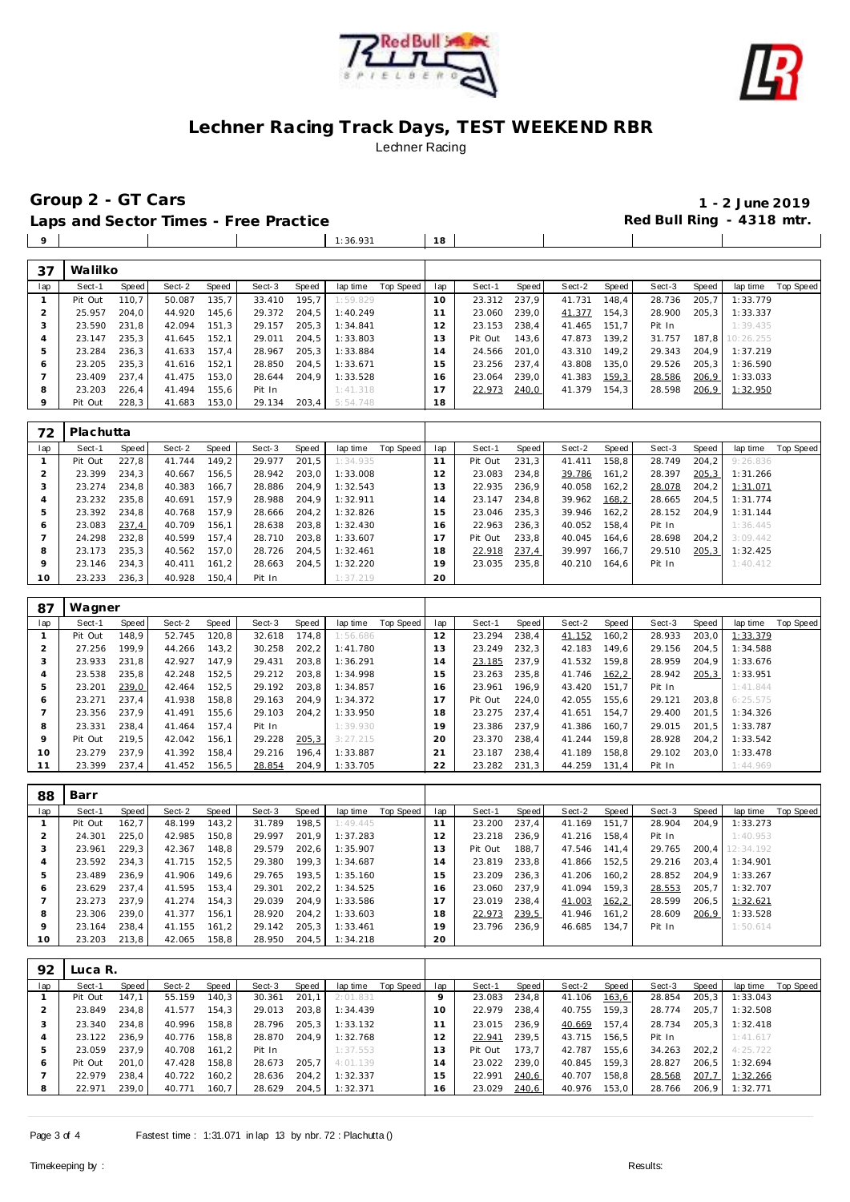



Group 2 - GT Cars<br>
Laps and Sector Times - Free Practice<br>
Laps and Sector Times - Free Practice<br> **1** - 2 June 2019

 $\mathbb{R}^n$  and  $\mathbb{R}^n$  and  $\mathbb{R}^n$ 

Laps and Sector Times - Free Practice

1:36.931 **18**

| 37  | Walilko |       |        |       |        |       |          |           |     |         |       |        |       |        |       |           |           |
|-----|---------|-------|--------|-------|--------|-------|----------|-----------|-----|---------|-------|--------|-------|--------|-------|-----------|-----------|
| lap | Sect-1  | Speed | Sect-2 | Speed | Sect-3 | Speed | lap time | Top Speed | lap | Sect-1  | Speed | Sect-2 | Speed | Sect-3 | Speed | lap time  | Top Speed |
|     | Pit Out | 110.7 | 50.087 | 135,7 | 33.410 | 195.7 | 1:59.829 |           | 10  | 23.312  | 237.9 | 41.731 | 148,4 | 28.736 | 205,7 | 1:33.779  |           |
|     | 25.957  | 204.0 | 44.920 | 145,6 | 29.372 | 204,5 | 1:40.249 |           | 11  | 23.060  | 239.0 | 41.377 | 154,3 | 28,900 | 205,3 | 1:33.337  |           |
|     | 23.590  | 231,8 | 42.094 | 151.3 | 29.157 | 205,3 | 1:34.841 |           | 12  | 23.153  | 238.4 | 41.465 | 151.7 | Pit In |       | 1:39.435  |           |
|     | 23.147  | 235,3 | 41.645 | 152,1 | 29.011 | 204,5 | 1:33.803 |           | 13  | Pit Out | 143,6 | 47.873 | 139,2 | 31.757 | 187,8 | 10:26.255 |           |
| 5   | 23.284  | 236,3 | 41.633 | 157.4 | 28.967 | 205,3 | 1:33.884 |           | 14  | 24.566  | 201.0 | 43.310 | 149,2 | 29.343 | 204,9 | 1:37.219  |           |
| 6   | 23.205  | 235,3 | 41.616 | 152.1 | 28.850 | 204.5 | 1:33.671 |           | 15  | 23.256  | 237.4 | 43.808 | 135.0 | 29.526 | 205,3 | 1:36.590  |           |
|     | 23.409  | 237.4 | 41.475 | 153.0 | 28.644 | 204.9 | 1:33.528 |           | 16  | 23.064  | 239.0 | 41.383 | 159.3 | 28.586 | 206,9 | 1:33.033  |           |
| 8   | 23.203  | 226,4 | 41.494 | 155,6 | Pit In |       | 1:41.318 |           | 17  | 22.973  | 240,0 | 41.379 | 154.3 | 28.598 | 206,9 | 1:32.950  |           |
| 9   | Pit Out | 228,3 | 41.683 | 153,0 | 29.134 | 203,4 | 5:54.748 |           | 18  |         |       |        |       |        |       |           |           |
|     |         |       |        |       |        |       |          |           |     |         |       |        |       |        |       |           |           |

| 72  | Plachutta |       |        |       |        |       |          |           |                |         |       |        |       |        |       |          |           |
|-----|-----------|-------|--------|-------|--------|-------|----------|-----------|----------------|---------|-------|--------|-------|--------|-------|----------|-----------|
| lap | Sect-1    | Speed | Sect-2 | Speed | Sect-3 | Speed | lap time | Top Speed | lap            | Sect-1  | Speed | Sect-2 | Speed | Sect-3 | Speed | lap time | Top Speed |
|     | Pit Out   | 227.8 | 41.744 | 149.2 | 29.977 | 201.5 | 1:34.935 |           | 11             | Pit Out | 231.3 | 41.411 | 158.8 | 28.749 | 204.2 | 9:26.836 |           |
|     | 23.399    | 234.3 | 40.667 | 156.5 | 28.942 | 203.0 | 1:33.008 |           | $\overline{2}$ | 23.083  | 234.8 | 39.786 | 161.2 | 28.397 | 205,3 | 1:31.266 |           |
|     | 23.274    | 234.8 | 40.383 | 166.7 | 28.886 | 204.9 | 1:32.543 |           | 3              | 22.935  | 236.9 | 40.058 | 162.2 | 28.078 | 204.2 | 1:31.071 |           |
|     | 23.232    | 235,8 | 40.691 | 157.9 | 28.988 | 204.9 | 1:32.911 |           | $\overline{A}$ | 23.147  | 234,8 | 39.962 | 168,2 | 28.665 | 204.5 | 1:31.774 |           |
|     | 23.392    | 234.8 | 40.768 | 157.9 | 28.666 | 204.2 | 1:32.826 |           | 5              | 23.046  | 235.3 | 39.946 | 162.2 | 28.152 | 204.9 | 1:31.144 |           |
| 6   | 23.083    | 237,4 | 40.709 | 156.1 | 28.638 | 203.8 | 1:32.430 |           | 16             | 22.963  | 236.3 | 40.052 | 158.4 | Pit In |       | 1:36.445 |           |
|     | 24.298    | 232,8 | 40.599 | 157.4 | 28.710 | 203.8 | 1:33.607 |           |                | Pit Out | 233.8 | 40.045 | 164.6 | 28.698 | 204.2 | 3:09.442 |           |
| 8   | 23.173    | 235.3 | 40.562 | 157.0 | 28.726 | 204.5 | 1:32.461 |           | 8              | 22.918  | 237,4 | 39.997 | 166.7 | 29.510 | 205,3 | 1:32.425 |           |
| 9   | 23.146    | 234.3 | 40.411 | 161.2 | 28.663 | 204.5 | 1:32.220 |           | 19             | 23.035  | 235.8 | 40.210 | 164.6 | Pit In |       | 1:40.412 |           |
| 10  | 23.233    | 236.3 | 40.928 | 150.4 | Pit In |       | 1:37.219 |           | 20             |         |       |        |       |        |       |          |           |

| 87  | Wagner  |       |        |       |        |       |          |           |     |         |       |        |       |        |       |          |           |
|-----|---------|-------|--------|-------|--------|-------|----------|-----------|-----|---------|-------|--------|-------|--------|-------|----------|-----------|
| lap | Sect-1  | Speed | Sect-2 | Speed | Sect-3 | Speed | lap time | Top Speed | lap | Sect-1  | Speed | Sect-2 | Speed | Sect-3 | Speed | lap time | Top Speed |
|     | Pit Out | 148.9 | 52.745 | 120.8 | 32.618 | 174.8 | 1:56.686 |           | 12  | 23.294  | 238,4 | 41.152 | 160.2 | 28.933 | 203,0 | 1:33.379 |           |
|     | 27.256  | 199.9 | 44.266 | 143,2 | 30.258 | 202,2 | 1:41.780 |           | 13  | 23.249  | 232,3 | 42.183 | 149.6 | 29.156 | 204,5 | 1:34.588 |           |
| 3   | 23.933  | 231.8 | 42.927 | 147.9 | 29.431 | 203.8 | 1:36.291 |           | 14  | 23.185  | 237.9 | 41.532 | 159.8 | 28.959 | 204.9 | 1:33.676 |           |
|     | 23.538  | 235,8 | 42.248 | 152,5 | 29.212 | 203,8 | 1:34.998 |           | 15  | 23.263  | 235,8 | 41.746 | 162,2 | 28.942 | 205,3 | 1:33.951 |           |
| 5   | 23.201  | 239,0 | 42.464 | 152,5 | 29.192 | 203,8 | 1:34.857 |           | 16  | 23.961  | 196.9 | 43.420 | 151.7 | Pit In |       | 1:41.844 |           |
| 6   | 23.271  | 237.4 | 41.938 | 158.8 | 29.163 | 204.9 | 1:34.372 |           | 17  | Pit Out | 224.0 | 42.055 | 155,6 | 29.121 | 203,8 | 6:25.575 |           |
|     | 23.356  | 237.9 | 41.491 | 155,6 | 29.103 | 204.2 | 1:33.950 |           | 18  | 23.275  | 237.4 | 41.651 | 154,7 | 29.400 | 201,5 | 1:34.326 |           |
| 8   | 23.331  | 238.4 | 41.464 | 157.4 | Pit In |       | 1:39.930 |           | 19  | 23.386  | 237.9 | 41.386 | 160.7 | 29.015 | 201.5 | 1:33.787 |           |
| 9   | Pit Out | 219.5 | 42.042 | 156.1 | 29.228 | 205,3 | 3:27.215 |           | 20  | 23.370  | 238.4 | 41.244 | 159.8 | 28.928 | 204,2 | 1:33.542 |           |
| 10  | 23.279  | 237.9 | 41.392 | 158.4 | 29.216 | 196,4 | 1:33.887 |           | 21  | 23.187  | 238.4 | 41.189 | 158,8 | 29.102 | 203,0 | 1:33.478 |           |
|     | 23.399  | 237.4 | 41.452 | 156,5 | 28.854 | 204.9 | 1:33.705 |           | 22  | 23.282  | 231.3 | 44.259 | 131.4 | Pit In |       | 1:44.969 |           |

| 88  | Barr    |       |        |        |        |       |          |           |                |         |       |        |       |        |       |           |           |
|-----|---------|-------|--------|--------|--------|-------|----------|-----------|----------------|---------|-------|--------|-------|--------|-------|-----------|-----------|
| lap | Sect-1  | Speed | Sect-2 | Speed  | Sect-3 | Speed | lap time | Top Speed | lap            | Sect-1  | Speed | Sect-2 | Speed | Sect-3 | Speed | lap time  | Top Speed |
|     | Pit Out | 162.7 | 48.199 | 143,2  | 31.789 | 198.5 | 1:49.445 |           |                | 23.200  | 237,4 | 41.169 | 151.7 | 28.904 | 204.9 | 1:33.273  |           |
|     | 24.301  | 225.0 | 42.985 | 150.8  | 29.997 | 201.9 | 1:37.283 |           | 12             | 23.218  | 236.9 | 41.216 | 158.4 | Pit In |       | 1:40.953  |           |
| 3   | 23.961  | 229.3 | 42.367 | 148.8  | 29.579 | 202.6 | 1:35.907 |           | 13             | Pit Out | 188.7 | 47.546 | 141.4 | 29.765 | 200.4 | 12:34.192 |           |
| 4   | 23.592  | 234,3 | 41.715 | 152,5  | 29.380 | 199,3 | 1:34.687 |           | $\overline{4}$ | 23.819  | 233,8 | 41.866 | 152,5 | 29.216 | 203.4 | 1:34.901  |           |
| 5   | 23.489  | 236.9 | 41.906 | 149.6  | 29.765 | 193.5 | 1:35.160 |           | 15             | 23.209  | 236.3 | 41.206 | 160.2 | 28.852 | 204.9 | 1:33.267  |           |
| 6   | 23.629  | 237.4 | 41.595 | 153,4  | 29.301 | 202,2 | 1:34.525 |           | 16             | 23.060  | 237.9 | 41.094 | 159.3 | 28.553 | 205,7 | 1:32.707  |           |
|     | 23.273  | 237.9 | 41.274 | 154.3  | 29.039 | 204.9 | 1:33.586 |           |                | 23.019  | 238.4 | 41.003 | 162,2 | 28.599 | 206,5 | 1:32.621  |           |
| 8   | 23.306  | 239.0 | 41.377 | 156.1  | 28.920 | 204.2 | 1:33.603 |           | 18             | 22.973  | 239,5 | 41.946 | 161.2 | 28.609 | 206,9 | 1:33.528  |           |
| 9   | 23.164  | 238.4 | 41.155 | 161, 2 | 29.142 | 205.3 | 1:33.461 |           | 19             | 23.796  | 236.9 | 46.685 | 134.7 | Pit In |       | 1:50.614  |           |
| 10  | 23.203  | 213,8 | 42.065 | 158,8  | 28.950 | 204,5 | 1:34.218 |           | 20             |         |       |        |       |        |       |           |           |

| 92  | Luca R. |       |        |       |        |        |          |           |     |         |       |        |       |        |       |          |           |
|-----|---------|-------|--------|-------|--------|--------|----------|-----------|-----|---------|-------|--------|-------|--------|-------|----------|-----------|
| lap | Sect-1  | Speed | Sect-2 | Speed | Sect-3 | Speed  | lap time | Top Speed | lap | Sect-1  | Speed | Sect-2 | Speed | Sect-3 | Speed | lap time | Top Speed |
|     | Pit Out | 147.1 | 55.159 | 140.3 | 30.361 | 201.1  | 2:01.831 |           |     | 23.083  | 234.8 | 41.106 | 163,6 | 28.854 | 205,3 | 1:33.043 |           |
| ∠   | 23.849  | 234,8 | 41.577 | 154,3 | 29.013 | 203,8  | 1:34.439 |           | 10  | 22.979  | 238,4 | 40.755 | 159.3 | 28.774 | 205.7 | 1:32.508 |           |
|     | 23.340  | 234.8 | 40.996 | 158.8 | 28.796 | 205,3  | 1:33.132 |           |     | 23.015  | 236.9 | 40.669 | 157.4 | 28.734 | 205.3 | 1:32.418 |           |
|     | 23.122  | 236.9 | 40.776 | 158,8 | 28.870 | 204.9  | 1:32.768 |           |     | 22.941  | 239,5 | 43.715 | 156,5 | Pit In |       | 1:41.617 |           |
| ь   | 23.059  | 237.9 | 40.708 | 161,2 | Pit In |        | 1:37.553 |           | 13  | Pit Out | 173.7 | 42.787 | 155,6 | 34.263 | 202.2 | 4:25.722 |           |
| O   | Pit Out | 201.0 | 47.428 | 158.8 | 28.673 | 205.7  | 4:01.139 |           | 14  | 23.022  | 239.0 | 40.845 | 159.3 | 28.827 | 206.5 | 1:32.694 |           |
|     | 22.979  | 238.4 | 40.722 | 160.2 | 28.636 | 204, 2 | 1:32.337 |           | 15  | 22.991  | 240,6 | 40.707 | 158.8 | 28.568 | 207,7 | 1:32.266 |           |
| 8   | 22.971  | 239,0 | 40.771 | 160,7 | 28.629 | 204,5  | 1:32.371 |           | 16. | 23.029  | 240,6 | 40.976 | 153,0 | 28.766 | 206,9 | 1:32.771 |           |